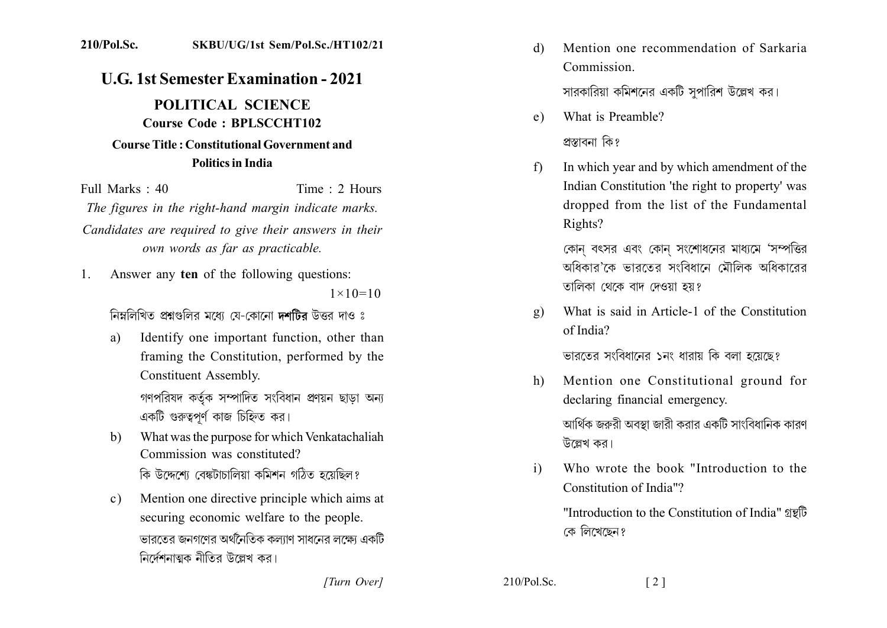## 210/Pol.Sc. SKBU/UG/1st Sem/Pol.Sc./HT102/21

## **U.G. 1st Semester Examination - 2021**

POLITICAL SCIENCE Course Code: BPLSCCHT102 Course Title: Constitutional Government and **Politics in India** 

Time  $\cdot$  2 Hours Full Marks  $\cdot$  40 The figures in the right-hand margin indicate marks. Candidates are required to give their answers in their own words as far as practicable.

Answer any ten of the following questions:  $1_{\cdot}$ 

 $1 \times 10 = 10$ 

নিম্নলিখিত প্রশ্নগুলির মধ্যে যে-কোনো দশটির উত্তর দাও ঃ

- Identify one important function, other than a) framing the Constitution, performed by the **Constituent Assembly.** গণপরিষদ কর্তৃক সম্পাদিত সংবিধান প্রণয়ন ছাডা অন্য একটি গুরুত্বপূর্ণ কাজ চিহ্নিত কর।
- What was the purpose for which Venkatachaliah  $h$ Commission was constituted? কি উদ্দেশ্যে বেঙ্কটাচালিয়া কমিশন গঠিত হয়েছিল?
- Mention one directive principle which aims at  $c)$ securing economic welfare to the people. ভারতের জনগণের অর্থনৈতিক কল্যাণ সাধনের লক্ষ্যে একটি নির্দেশনাত্মক নীতির উল্লেখ কর।

Mention one recommendation of Sarkaria d) Commission

সারকারিয়া কমিশনের একটি সপারিশ উল্লেখ কর।

- What is Preamble?  $e)$ প্ৰস্তাবনা কি?
- $f$ In which year and by which amendment of the Indian Constitution 'the right to property' was dropped from the list of the Fundamental Rights?

কোন বৎসর এবং কোন সংশোধনের মাধ্যমে 'সম্পত্তির অধিকাব'কে ভাবতের সংবিধানে মৌলিক অধিকাবেব তালিকা থেকে বাদ দেওয়া হয়?

What is said in Article-1 of the Constitution  $\mathbf{g}$ ) of India?

ভারতের সংবিধানের ১নং ধারায় কি বলা হয়েছে?

Mention one Constitutional ground for  $h)$ declaring financial emergency.

আর্থিক জরুরী অবস্থা জারী করার একটি সাংবিধানিক কারণ উল্লেখ কর।

Who wrote the book "Introduction to the  $i)$ Constitution of India"?

 $\lceil 2 \rceil$ 

"Introduction to the Constitution of India" 2 কে লিখেছেন?

[Turn Over]

 $210/Pol$ . Sc.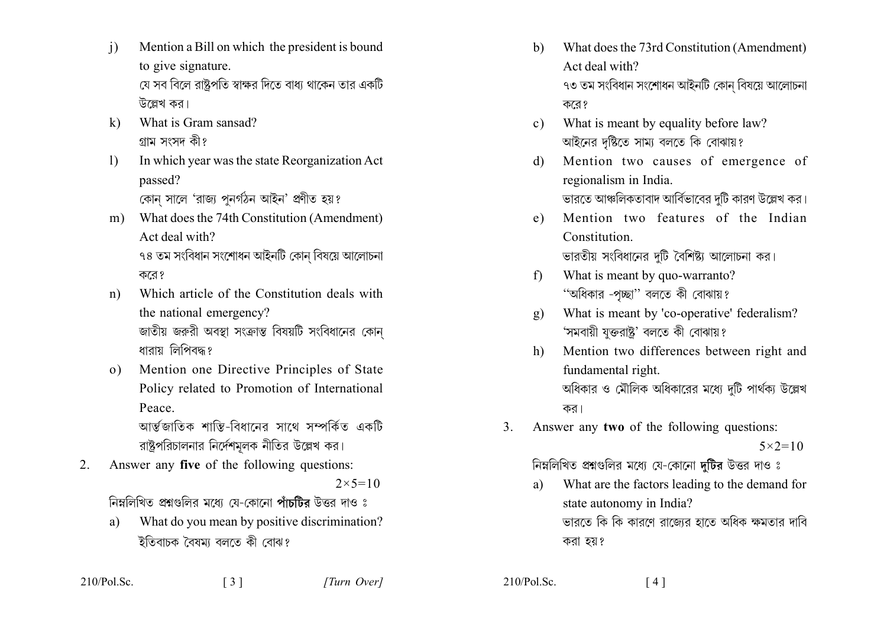- Mention a Bill on which the president is bound  $\mathbf{i}$ to give signature. যে সব বিলে রাষ্টপতি স্বাক্ষর দিতে বাধ্য থাকেন তার একটি উল্লেখ কর।
- What is Gram sansad?  $\bf{k}$ ) গ্ৰাম সংসদ কী?
- In which year was the state Reorganization Act  $\left| \right|$ passed? কোন সালে 'রাজ্য পুনর্গঠন আইন' প্রণীত হয়?
- What does the 74th Constitution (Amendment)  $m$ ) Act deal with? ৭৪ তম সংবিধান সংশোধন আইনটি কোন বিষয়ে আলোচনা করে?
- Which article of the Constitution deals with  $n$ ) the national emergency? জাতীয় জরুরী অবস্থা সংক্রান্ত বিষয়টি সংবিধানের কোন ধারায় লিপিবদ্ধ?
- Mention one Directive Principles of State  $\Omega$ ) Policy related to Promotion of International Peace.

আৰ্ম্বজাতিক শান্তি-বিধানের সাথে সম্পর্কিত একটি রাষ্ট্রপরিচালনার নির্দেশমূলক নীতির উল্লেখ কর।

Answer any five of the following questions:  $\overline{2}$ .

 $2 \times 5 = 10$ 

নিম্নলিখিত প্রশ্নগুলির মধ্যে যে-কোনো পাঁচটির উত্তর দাও ঃ

 $\begin{bmatrix} 3 \end{bmatrix}$ 

What do you mean by positive discrimination? a) ইতিবাচক বৈষম্য বলতে কী বোঝ?

- What does the 73rd Constitution (Amendment)  $b)$ Act deal with? ৭৩ তম সংবিধান সংশোধন আইনটি কোন বিষয়ে আলোচনা করে?
- What is meant by equality before law?  $c)$ আইনের দৃষ্টিতে সাম্য বলতে কি বোঝায়?
- Mention two causes of emergence of  $\mathcal{L}$ regionalism in India. ভারতে আঞ্চলিকতাবাদ আর্বিভাবের দুটি কারণ উল্লেখ কর।
- Mention two features of the Indian  $e)$ Constitution ভারতীয় সংবিধানের দুটি বৈশিষ্ট্য আলোচনা কর।
- What is meant by quo-warranto?  $f$ ) "অধিকার -পূচ্ছা" বলতে কী বোঝায়?
- What is meant by 'co-operative' federalism?  $\mathbf{g}$ ) 'সমবায়ী যুক্তরাষ্ট্র' বলতে কী বোঝায়?
- Mention two differences between right and  $h$ ) fundamental right. অধিকার ও মৌলিক অধিকারের মধ্যে দটি পার্থক্য উল্লেখ কর।
- Answer any two of the following questions:  $3<sub>1</sub>$

 $5 \times 2 = 10$ 

নিম্নলিখিত প্রশ্নগুলির মধ্যে যে-কোনো দটির উত্তর দাও ঃ

What are the factors leading to the demand for a) state autonomy in India? ভারতে কি কি কারণে রাজ্যের হাতে অধিক ক্ষমতার দাবি করা হয়?

 $210/Pol$ . Sc.